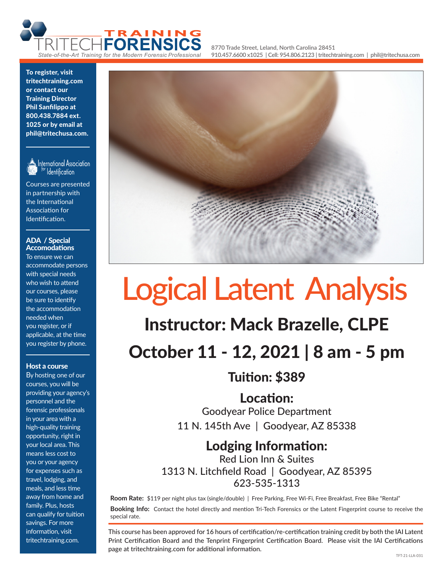

**8770 Trade Street, Leland, North Carolina 28451 910.457.6600 x1025 | Cell: 954.806.2123 | tritechtraining.com | phil@tritechusa.com**

To register, visit tritechtraining.com or contact our Training Director Phil Sanfilippo at 800.438.7884 ext. 1025 or by email at phil@tritechusa.com.



International Association Identification

Courses are presented in partnership with the International Association for Identification.

#### ADA / Special Accomodations

To ensure we can accommodate persons with special needs who wish to attend our courses, please be sure to identify the accommodation needed when you register, or if applicable, at the time you register by phone.

## Host a course

By hosting one of our courses, you will be providing your agency's personnel and the forensic professionals in your area with a high-quality training opportunity, right in your local area. This means less cost to you or your agency for expenses such as travel, lodging, and meals, and less time away from home and family. Plus, hosts can qualify for tuition savings. For more information, visit tritechtraining.com.



# Logical Latent Analysis

# Instructor: Mack Brazelle, CLPE

October 11 - 12, 2021 | 8 am - 5 pm

Tuition: \$389

Location: Goodyear Police Department

11 N. 145th Ave | Goodyear, AZ 85338

# Lodging Information:

Red Lion Inn & Suites 1313 N. Litchfield Road | Goodyear, AZ 85395 623-535-1313

**Room Rate:** \$119 per night plus tax (single/double) | Free Parking, Free Wi-Fi, Free Breakfast, Free Bike "Rental" **Booking Info:** Contact the hotel directly and mention Tri-Tech Forensics or the Latent Fingerprint course to receive the special rate.

This course has been approved for 16 hours of certification/re-certification training credit by both the IAI Latent Print Certification Board and the Tenprint Fingerprint Certification Board. Please visit the IAI Certifications page at tritechtraining.com for additional information.